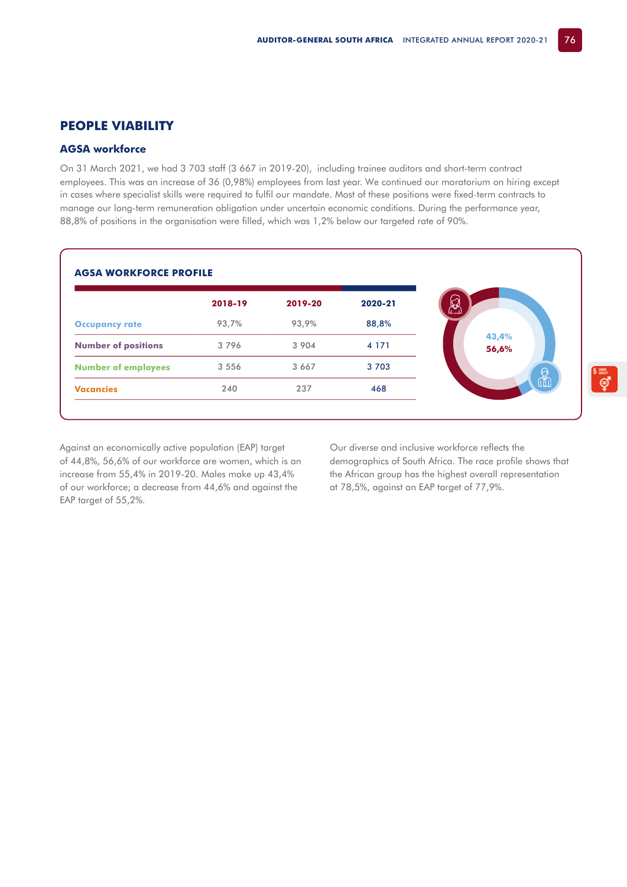## **PEOPLE VIABILITY**

## **AGSA workforce**

On 31 March 2021, we had 3 703 staff (3 667 in 2019-20), including trainee auditors and short-term contract employees. This was an increase of 36 (0,98%) employees from last year. We continued our moratorium on hiring except in cases where specialist skills were required to fulfil our mandate. Most of these positions were fixed-term contracts to manage our long-term remuneration obligation under uncertain economic conditions. During the performance year, 88,8% of positions in the organisation were filled, which was 1,2% below our targeted rate of 90%.

|                            | 2018-19 | 2019-20 | 2020-21 |
|----------------------------|---------|---------|---------|
| <b>Occupancy rate</b>      | 93,7%   | 93,9%   | 88,8%   |
| <b>Number of positions</b> | 3796    | 3 9 0 4 | 4 1 7 1 |
| <b>Number of employees</b> | 3 5 5 6 | 3 6 6 7 | 3 7 0 3 |
| <b>Vacancies</b>           | 240     | 237     | 468     |

Against an economically active population (EAP) target of 44,8%, 56,6% of our workforce are women, which is an increase from 55,4% in 2019-20. Males make up 43,4% of our workforce; a decrease from 44,6% and against the EAP target of 55,2%.

Our diverse and inclusive workforce reflects the demographics of South Africa. The race profile shows that the African group has the highest overall representation at 78,5%, against an EAP target of 77,9%.